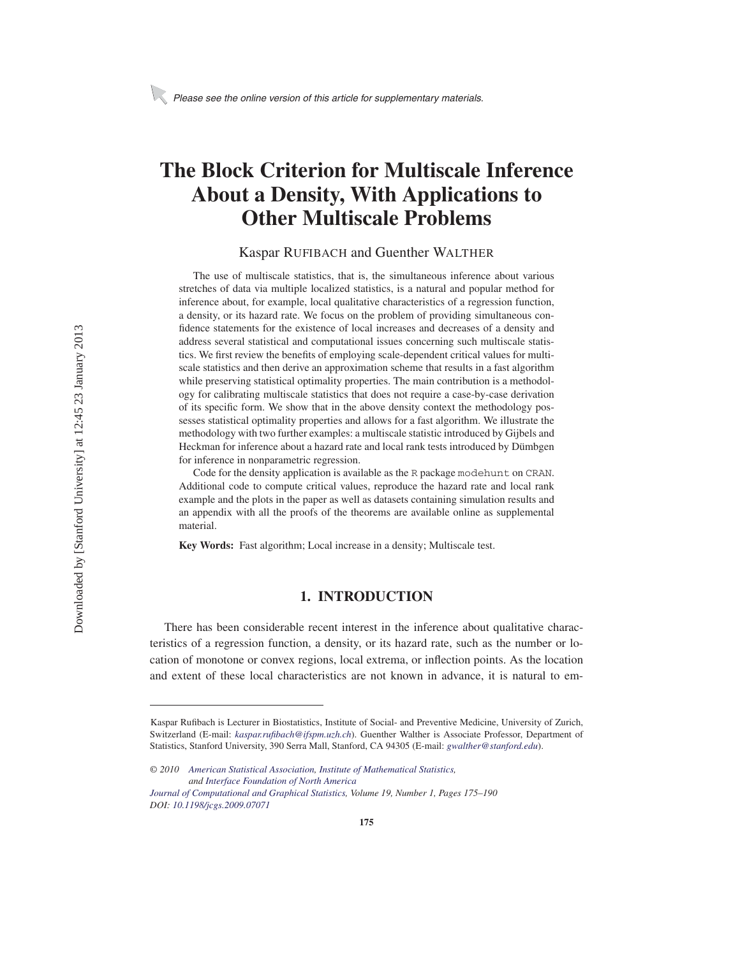# **The Block Criterion for Multiscale Inference About a Density, With Applications to Other Multiscale Problems**

#### Kaspar RUFIBACH and Guenther WALTHER

The use of multiscale statistics, that is, the simultaneous inference about various stretches of data via multiple localized statistics, is a natural and popular method for inference about, for example, local qualitative characteristics of a regression function, a density, or its hazard rate. We focus on the problem of providing simultaneous confidence statements for the existence of local increases and decreases of a density and address several statistical and computational issues concerning such multiscale statistics. We first review the benefits of employing scale-dependent critical values for multiscale statistics and then derive an approximation scheme that results in a fast algorithm while preserving statistical optimality properties. The main contribution is a methodology for calibrating multiscale statistics that does not require a case-by-case derivation of its specific form. We show that in the above density context the methodology possesses statistical optimality properties and allows for a fast algorithm. We illustrate the methodology with two further examples: a multiscale statistic introduced by Gijbels and Heckman for inference about a hazard rate and local rank tests introduced by Dümbgen for inference in nonparametric regression.

Code for the density application is available as the R package modehunt on CRAN. Additional code to compute critical values, reproduce the hazard rate and local rank example and the plots in the paper as well as datasets containing simulation results and an appendix with all the proofs of the theorems are available online as supplemental material.

**Key Words:** Fast algorithm; Local increase in a density; Multiscale test.

## **1. INTRODUCTION**

There has been considerable recent interest in the inference about qualitative characteristics of a regression function, a density, or its hazard rate, such as the number or location of monotone or convex regions, local extrema, or inflection points. As the location and extent of these local characteristics are not known in advance, it is natural to em-

Kaspar Rufibach is Lecturer in Biostatistics, Institute of Social- and Preventive Medicine, University of Zurich, Switzerland (E-mail: *kaspar.rufibach@ifspm.uzh.ch*). Guenther Walther is Associate Professor, Department of Statistics, Stanford University, 390 Serra Mall, Stanford, CA 94305 (E-mail: *gwalther@stanford.edu*).

*<sup>© 2010</sup> American Statistical Association, Institute of Mathematical Statistics, and Interface Foundation of North America*

*Journal of Computational and Graphical Statistics, Volume 19, Number 1, Pages 175–190 DOI: 10.1198/jcgs.2009.07071*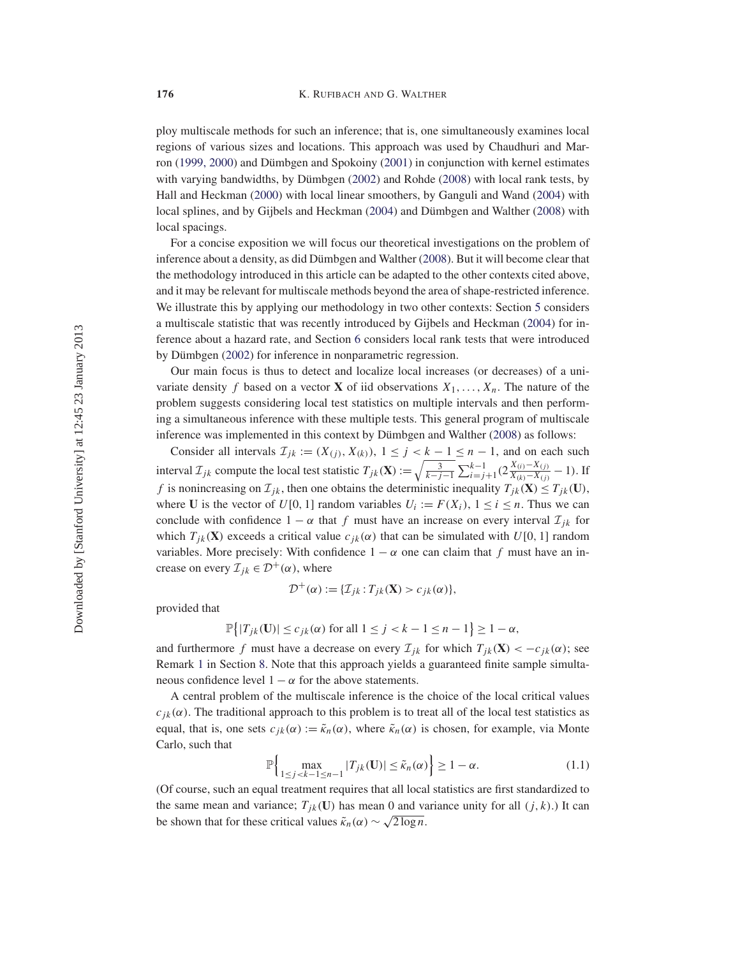ploy multiscale methods for such an inference; that is, one simultaneously examines local regions of various sizes and locations. This approach was used by Chaudhuri and Marron (1999, 2000) and Dümbgen and Spokoiny (2001) in conjunction with kernel estimates with varying bandwidths, by Dümbgen (2002) and Rohde (2008) with local rank tests, by Hall and Heckman (2000) with local linear smoothers, by Ganguli and Wand (2004) with local splines, and by Gijbels and Heckman (2004) and Dümbgen and Walther (2008) with local spacings.

For a concise exposition we will focus our theoretical investigations on the problem of inference about a density, as did Dümbgen and Walther (2008). But it will become clear that the methodology introduced in this article can be adapted to the other contexts cited above, and it may be relevant for multiscale methods beyond the area of shape-restricted inference. We illustrate this by applying our methodology in two other contexts: Section 5 considers a multiscale statistic that was recently introduced by Gijbels and Heckman (2004) for inference about a hazard rate, and Section 6 considers local rank tests that were introduced by Dümbgen (2002) for inference in nonparametric regression.

Our main focus is thus to detect and localize local increases (or decreases) of a univariate density f based on a vector **X** of iid observations  $X_1, \ldots, X_n$ . The nature of the problem suggests considering local test statistics on multiple intervals and then performing a simultaneous inference with these multiple tests. This general program of multiscale inference was implemented in this context by Dümbgen and Walther (2008) as follows:

Consider all intervals  $\mathcal{I}_{jk} := (X_{(j)}, X_{(k)}), 1 \le j < k - 1 \le n - 1$ , and on each such interval  $\mathcal{I}_{jk}$  compute the local test statistic  $T_{jk}(\mathbf{X}) := \sqrt{\frac{3}{k-j-1}} \sum_{i=j+1}^{k-1} (2 \frac{X_{(i)} - X_{(j)}}{X_{(k)} - X_{(j)}} - 1)$ . If f is nonincreasing on  $\mathcal{I}_{jk}$ , then one obtains the deterministic inequality  $T_{jk}(\mathbf{X}) \leq T_{jk}(\mathbf{U})$ , where **U** is the vector of  $U[0, 1]$  random variables  $U_i := F(X_i)$ ,  $1 \le i \le n$ . Thus we can conclude with confidence  $1 - \alpha$  that f must have an increase on every interval  $\mathcal{I}_{ik}$  for which  $T_{jk}(\mathbf{X})$  exceeds a critical value  $c_{jk}(\alpha)$  that can be simulated with  $U[0, 1]$  random variables. More precisely: With confidence  $1 - \alpha$  one can claim that f must have an increase on every  $\mathcal{I}_{jk} \in \mathcal{D}^+(\alpha)$ , where

$$
\mathcal{D}^+(\alpha) := \{ \mathcal{I}_{jk} : T_{jk}(\mathbf{X}) > c_{jk}(\alpha) \},
$$

provided that

$$
\mathbb{P}\big\{|T_{jk}(\mathbf{U})| \leq c_{jk}(\alpha) \text{ for all } 1 \leq j < k - 1 \leq n - 1\big\} \geq 1 - \alpha,
$$

and furthermore f must have a decrease on every  $\mathcal{I}_{jk}$  for which  $T_{jk}(\mathbf{X}) < -c_{jk}(\alpha)$ ; see Remark 1 in Section 8. Note that this approach yields a guaranteed finite sample simultaneous confidence level  $1 - \alpha$  for the above statements.

A central problem of the multiscale inference is the choice of the local critical values  $c_{ik}(\alpha)$ . The traditional approach to this problem is to treat all of the local test statistics as equal, that is, one sets  $c_{jk}(\alpha) := \tilde{\kappa}_n(\alpha)$ , where  $\tilde{\kappa}_n(\alpha)$  is chosen, for example, via Monte Carlo, such that

$$
\mathbb{P}\Big\{\max_{1\leq j < k-1 \leq n-1} |T_{jk}(\mathbf{U})| \leq \tilde{\kappa}_n(\alpha)\Big\} \geq 1 - \alpha. \tag{1.1}
$$

(Of course, such an equal treatment requires that all local statistics are first standardized to the same mean and variance;  $T_{ik}(\mathbf{U})$  has mean 0 and variance unity for all  $(j, k)$ .) It can be shown that for these critical values  $\tilde{\kappa}_n(\alpha) \sim \sqrt{2 \log n}$ .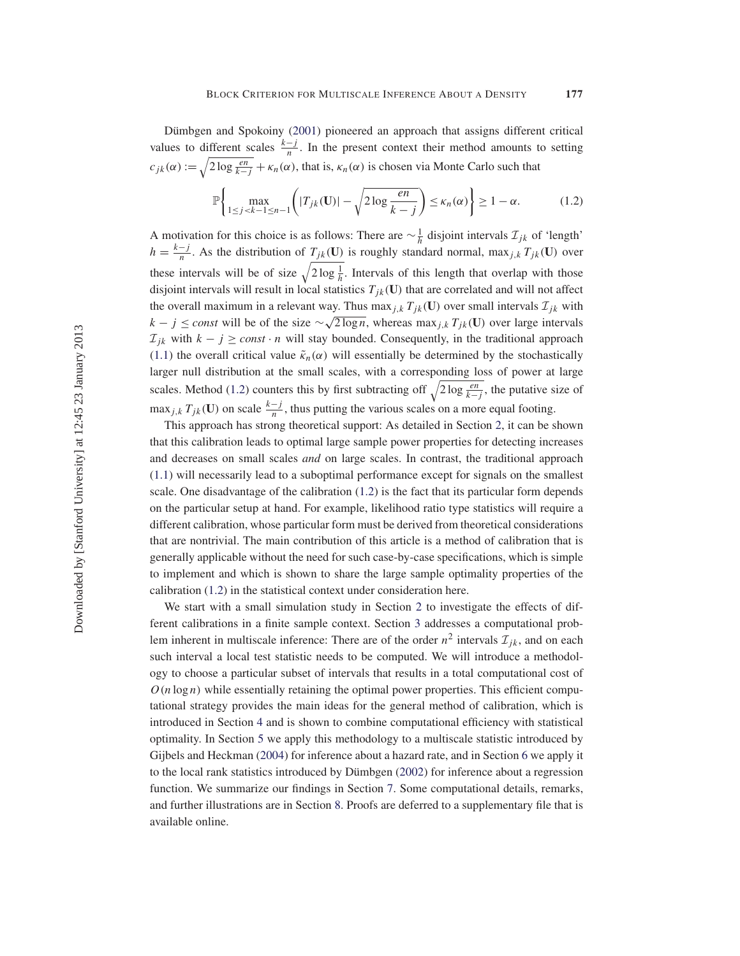Dümbgen and Spokoiny (2001) pioneered an approach that assigns different critical values to different scales  $\frac{k-j}{n}$ . In the present context their method amounts to setting  $c_{jk}(\alpha) := \sqrt{2 \log \frac{en}{k-j}} + \kappa_n(\alpha)$ , that is,  $\kappa_n(\alpha)$  is chosen via Monte Carlo such that

$$
\mathbb{P}\left\{\max_{1\leq j < k-1\leq n-1} \left( |T_{jk}(\mathbf{U})| - \sqrt{2\log\frac{en}{k-j}} \right) \leq \kappa_n(\alpha) \right\} \geq 1 - \alpha. \tag{1.2}
$$

A motivation for this choice is as follows: There are  $\sim \frac{1}{h}$  disjoint intervals  $\mathcal{I}_{jk}$  of 'length'  $h = \frac{k-j}{n}$ . As the distribution of  $T_{jk}(\mathbf{U})$  is roughly standard normal, max<sub>j,k</sub>  $T_{jk}(\mathbf{U})$  over these intervals will be of size  $\sqrt{2\log\frac{1}{h}}$ . Intervals of this length that overlap with those disjoint intervals will result in local statistics  $T_{ik}(\mathbf{U})$  that are correlated and will not affect the overall maximum in a relevant way. Thus max<sub>j,k</sub>  $T_{ik}(\mathbf{U})$  over small intervals  $\mathcal{I}_{ik}$  with  $k - j \leq const$  will be of the size  $\sim \sqrt{2 \log n}$ , whereas max<sub>j,k</sub> T<sub>jk</sub>(**U**) over large intervals  $\mathcal{I}_{jk}$  with  $k - j \geq const \cdot n$  will stay bounded. Consequently, in the traditional approach (1.1) the overall critical value  $\tilde{\kappa}_n(\alpha)$  will essentially be determined by the stochastically larger null distribution at the small scales, with a corresponding loss of power at large scales. Method (1.2) counters this by first subtracting off  $\sqrt{2\log\frac{en}{k-j}}$ , the putative size of  $\max_{j,k} T_{jk}(\mathbf{U})$  on scale  $\frac{k-j}{n}$ , thus putting the various scales on a more equal footing.

This approach has strong theoretical support: As detailed in Section 2, it can be shown that this calibration leads to optimal large sample power properties for detecting increases and decreases on small scales *and* on large scales. In contrast, the traditional approach (1.1) will necessarily lead to a suboptimal performance except for signals on the smallest scale. One disadvantage of the calibration (1.2) is the fact that its particular form depends on the particular setup at hand. For example, likelihood ratio type statistics will require a different calibration, whose particular form must be derived from theoretical considerations that are nontrivial. The main contribution of this article is a method of calibration that is generally applicable without the need for such case-by-case specifications, which is simple to implement and which is shown to share the large sample optimality properties of the calibration (1.2) in the statistical context under consideration here.

We start with a small simulation study in Section 2 to investigate the effects of different calibrations in a finite sample context. Section 3 addresses a computational problem inherent in multiscale inference: There are of the order  $n^2$  intervals  $\mathcal{I}_{ik}$ , and on each such interval a local test statistic needs to be computed. We will introduce a methodology to choose a particular subset of intervals that results in a total computational cost of  $O(n \log n)$  while essentially retaining the optimal power properties. This efficient computational strategy provides the main ideas for the general method of calibration, which is introduced in Section 4 and is shown to combine computational efficiency with statistical optimality. In Section 5 we apply this methodology to a multiscale statistic introduced by Gijbels and Heckman (2004) for inference about a hazard rate, and in Section 6 we apply it to the local rank statistics introduced by Dümbgen (2002) for inference about a regression function. We summarize our findings in Section 7. Some computational details, remarks, and further illustrations are in Section 8. Proofs are deferred to a supplementary file that is available online.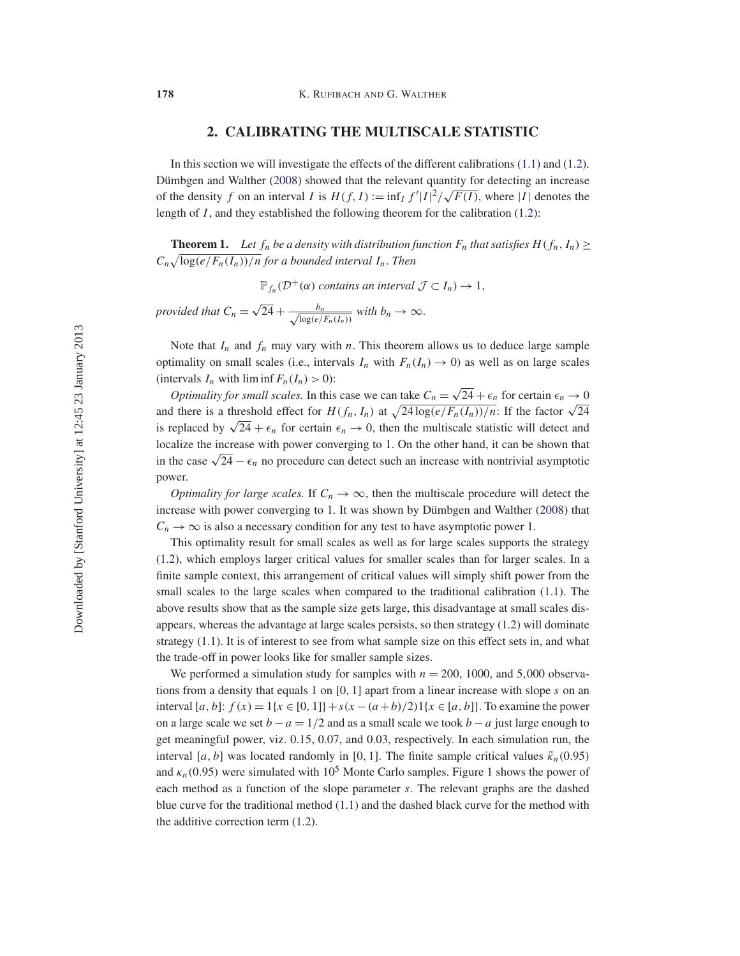### **2. CALIBRATING THE MULTISCALE STATISTIC**

In this section we will investigate the effects of the different calibrations (1.1) and (1.2). Dümbgen and Walther (2008) showed that the relevant quantity for detecting an increase butting an interval  $I$  is  $H(f, I) := \inf_I f'|I|^2 / \sqrt{F(I)}$ , where |I| denotes the length of  $I$ , and they established the following theorem for the calibration (1.2):

**Theorem 1.** Let  $f_n$  be a density with distribution function  $F_n$  that satisfies  $H(f_n, I_n) \ge$  $C_n\sqrt{\log(e/F_n(I_n))/n}$  for a bounded interval  $I_n$ . Then

 $\mathbb{P}_{f_n}(\mathcal{D}^+(\alpha))$  *contains an interval*  $\mathcal{J} \subset I_n$ )  $\rightarrow 1$ ,

*provided that*  $C_n = \sqrt{24} + \frac{b_n}{\sqrt{24}}$  $\frac{b_n}{\log(e/F_n(I_n))}$  with  $b_n \to \infty$ .

Note that  $I_n$  and  $f_n$  may vary with n. This theorem allows us to deduce large sample optimality on small scales (i.e., intervals  $I_n$  with  $F_n(I_n) \to 0$ ) as well as on large scales (intervals  $I_n$  with liminf  $F_n(I_n) > 0$ ):

*Optimality for small scales.* In this case we can take  $C_n = \sqrt{24} + \epsilon_n$  for certain  $\epsilon_n \to 0$ *Columatity for small scales.* In this case we can take  $C_n = \sqrt{24 + \epsilon_n}$  for certain  $\epsilon_n \to 0$  and there is a threshold effect for  $H(f_n, I_n)$  at  $\sqrt{24 \log(e/F_n(I_n))/n}$ . If the factor  $\sqrt{24}$ is replaced by  $\sqrt{24} + \epsilon_n$  for certain  $\epsilon_n \to 0$ , then the multiscale statistic will detect and localize the increase with power converging to 1. On the other hand, it can be shown that in the case  $\sqrt{24} - \epsilon_n$  no procedure can detect such an increase with nontrivial asymptotic power.

*Optimality for large scales.* If  $C_n \to \infty$ , then the multiscale procedure will detect the increase with power converging to 1. It was shown by Dümbgen and Walther (2008) that  $C_n \rightarrow \infty$  is also a necessary condition for any test to have asymptotic power 1.

This optimality result for small scales as well as for large scales supports the strategy (1.2), which employs larger critical values for smaller scales than for larger scales. In a finite sample context, this arrangement of critical values will simply shift power from the small scales to the large scales when compared to the traditional calibration (1.1). The above results show that as the sample size gets large, this disadvantage at small scales disappears, whereas the advantage at large scales persists, so then strategy (1.2) will dominate strategy (1.1). It is of interest to see from what sample size on this effect sets in, and what the trade-off in power looks like for smaller sample sizes.

We performed a simulation study for samples with  $n = 200$ , 1000, and 5,000 observations from a density that equals 1 on  $[0, 1]$  apart from a linear increase with slope s on an interval [a, b]:  $f(x) = 1\{x \in [0, 1]\} + s(x - (a + b)/2)1\{x \in [a, b]\}$ . To examine the power on a large scale we set  $b - a = 1/2$  and as a small scale we took  $b - a$  just large enough to get meaningful power, viz. 0.15, 0.07, and 0.03, respectively. In each simulation run, the interval [a, b] was located randomly in [0, 1]. The finite sample critical values  $\tilde{\kappa}_n(0.95)$ and  $\kappa_n(0.95)$  were simulated with  $10^5$  Monte Carlo samples. Figure 1 shows the power of each method as a function of the slope parameter s. The relevant graphs are the dashed blue curve for the traditional method (1.1) and the dashed black curve for the method with the additive correction term (1.2).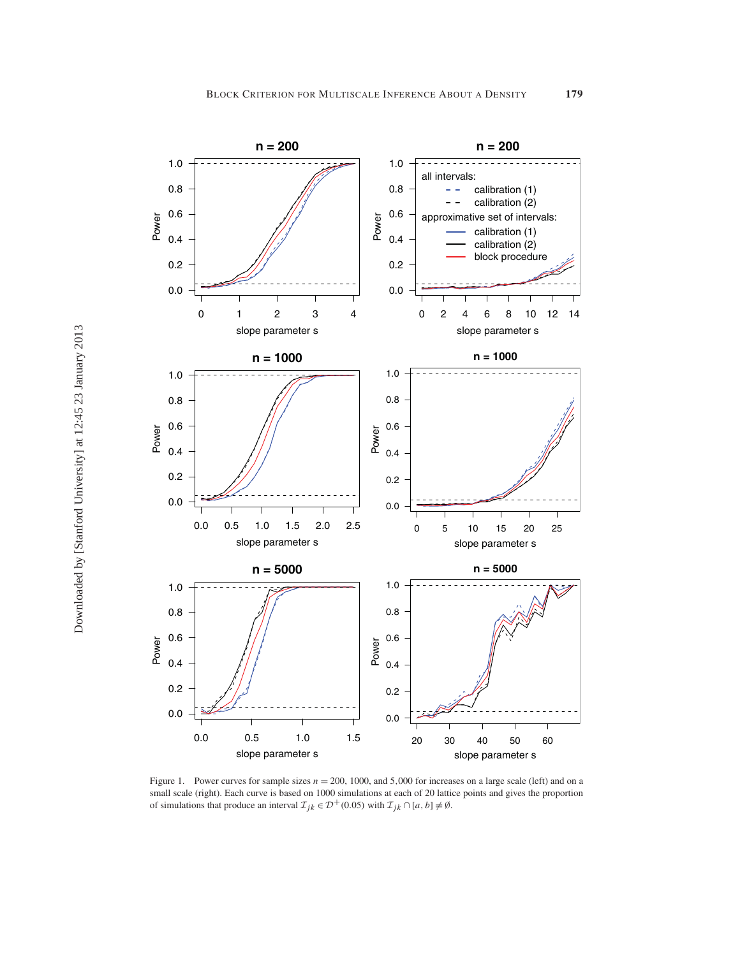

Figure 1. Power curves for sample sizes  $n = 200$ , 1000, and 5,000 for increases on a large scale (left) and on a small scale (right). Each curve is based on 1000 simulations at each of 20 lattice points and gives the proportion of simulations that produce an interval  $\mathcal{I}_{jk} \in \mathcal{D}^+(0.05)$  with  $\mathcal{I}_{jk} \cap [a, b] \neq \emptyset$ .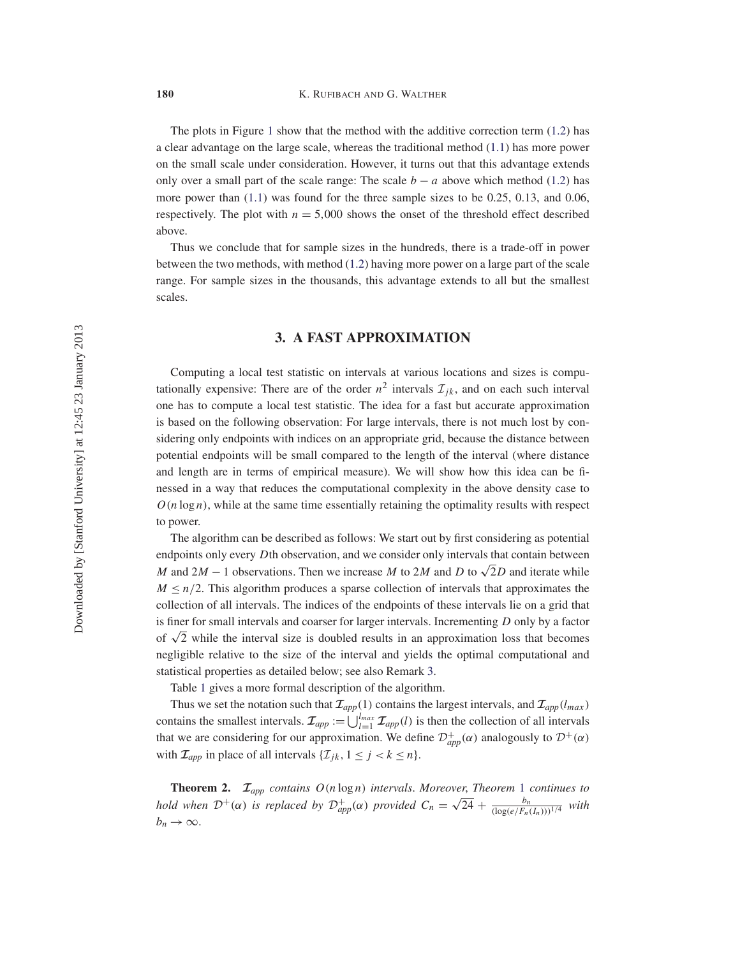The plots in Figure 1 show that the method with the additive correction term (1.2) has a clear advantage on the large scale, whereas the traditional method (1.1) has more power on the small scale under consideration. However, it turns out that this advantage extends only over a small part of the scale range: The scale  $b - a$  above which method (1.2) has more power than  $(1.1)$  was found for the three sample sizes to be 0.25, 0.13, and 0.06, respectively. The plot with  $n = 5,000$  shows the onset of the threshold effect described above.

Thus we conclude that for sample sizes in the hundreds, there is a trade-off in power between the two methods, with method (1.2) having more power on a large part of the scale range. For sample sizes in the thousands, this advantage extends to all but the smallest scales.

## **3. A FAST APPROXIMATION**

Computing a local test statistic on intervals at various locations and sizes is computationally expensive: There are of the order  $n^2$  intervals  $\mathcal{I}_{ik}$ , and on each such interval one has to compute a local test statistic. The idea for a fast but accurate approximation is based on the following observation: For large intervals, there is not much lost by considering only endpoints with indices on an appropriate grid, because the distance between potential endpoints will be small compared to the length of the interval (where distance and length are in terms of empirical measure). We will show how this idea can be finessed in a way that reduces the computational complexity in the above density case to  $O(n \log n)$ , while at the same time essentially retaining the optimality results with respect to power.

The algorithm can be described as follows: We start out by first considering as potential endpoints only every Dth observation, and we consider only intervals that contain between M and 2M – 1 observations. Then we increase M to 2M and D to  $\sqrt{2}D$  and iterate while  $M \leq n/2$ . This algorithm produces a sparse collection of intervals that approximates the collection of all intervals. The indices of the endpoints of these intervals lie on a grid that is finer for small intervals and coarser for larger intervals. Incrementing D only by a factor of  $\sqrt{2}$  while the interval size is doubled results in an approximation loss that becomes negligible relative to the size of the interval and yields the optimal computational and statistical properties as detailed below; see also Remark 3.

Table 1 gives a more formal description of the algorithm.

Thus we set the notation such that  $\mathcal{I}_{app}(1)$  contains the largest intervals, and  $\mathcal{I}_{app}(l_{max})$ contains the smallest intervals.  $\mathcal{I}_{app} := \bigcup_{l=1}^{l_{max}} \mathcal{I}_{app}(l)$  is then the collection of all intervals that we are considering for our approximation. We define  $\mathcal{D}^+_{app}(\alpha)$  analogously to  $\mathcal{D}^+(\alpha)$ with  $\mathcal{I}_{app}$  in place of all intervals  $\{\mathcal{I}_{jk}, 1 \leq j < k \leq n\}.$ 

**Theorem 2.** *<sup>I</sup>app contains* O(n log n) *intervals*. *Moreover*, *Theorem* <sup>1</sup> *continues to* **hold when**  $\mathcal{D}^+(\alpha)$  *is replaced by*  $\mathcal{D}^+_{app}(\alpha)$  *provided*  $C_n = \sqrt{24} + \frac{b_n}{(\log(e/F_n(I_n)))^{1/4}}$  *with*  $b_n \to \infty$ .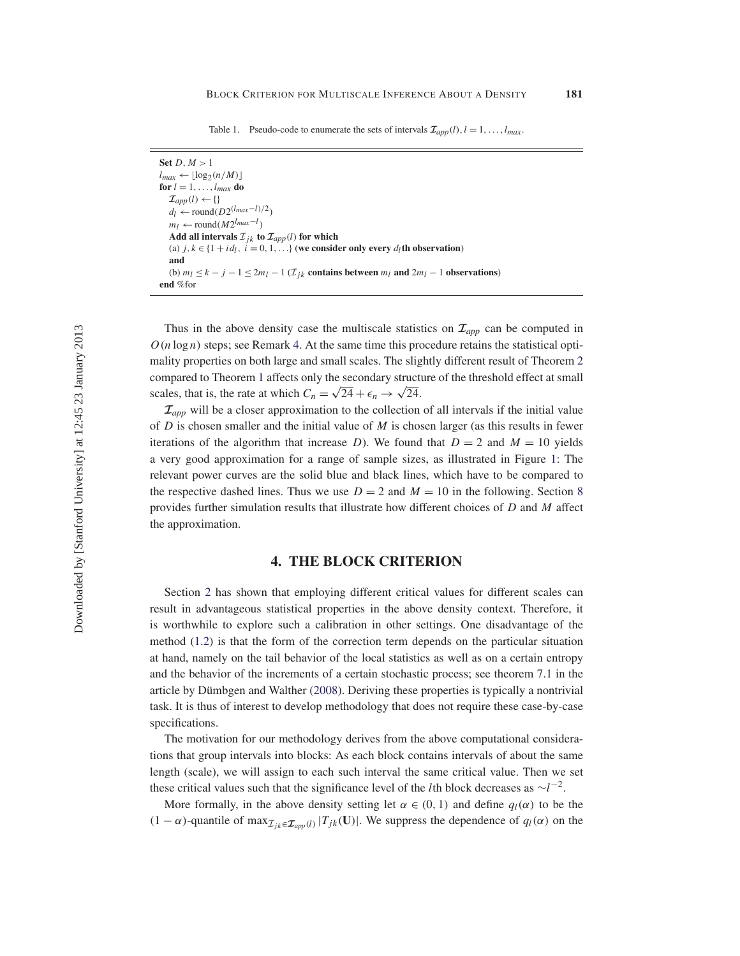| Set $D, M > 1$                                                                                                |
|---------------------------------------------------------------------------------------------------------------|
| $l_{max} \leftarrow  \log_2(n/M) $                                                                            |
| for $l = 1, \ldots, l_{max}$ do                                                                               |
| $\mathcal{I}_{amp}(l) \leftarrow \{\}$                                                                        |
| $d_l \leftarrow \text{round}(D2^{(l_{max}-l)/2})$                                                             |
| $m_l \leftarrow \text{round}(M2^{l_{max}-l})$                                                                 |
| Add all intervals $\mathcal{I}_{ik}$ to $\mathcal{I}_{app}(l)$ for which                                      |
| (a) $j, k \in \{1 + id_l, i = 0, 1, \}$ (we consider only every $d_l$ th observation)                         |
| and                                                                                                           |
| (b) $m_l \le k - j - 1 \le 2m_l - 1$ ( $\mathcal{I}_{ik}$ contains between $m_l$ and $2m_l - 1$ observations) |
| end %for                                                                                                      |

Thus in the above density case the multiscale statistics on  $\mathcal{I}_{app}$  can be computed in  $O(n \log n)$  steps; see Remark 4. At the same time this procedure retains the statistical optimality properties on both large and small scales. The slightly different result of Theorem 2 compared to Theorem 1 affects only the secondary structure of the threshold effect at small scales, that is, the rate at which  $C_n = \sqrt{24} + \epsilon_n \rightarrow \sqrt{24}$ .

 $\mathcal{I}_{app}$  will be a closer approximation to the collection of all intervals if the initial value of D is chosen smaller and the initial value of  $M$  is chosen larger (as this results in fewer iterations of the algorithm that increase D). We found that  $D = 2$  and  $M = 10$  yields a very good approximation for a range of sample sizes, as illustrated in Figure 1: The relevant power curves are the solid blue and black lines, which have to be compared to the respective dashed lines. Thus we use  $D = 2$  and  $M = 10$  in the following. Section 8 provides further simulation results that illustrate how different choices of D and M affect the approximation.

#### **4. THE BLOCK CRITERION**

Section 2 has shown that employing different critical values for different scales can result in advantageous statistical properties in the above density context. Therefore, it is worthwhile to explore such a calibration in other settings. One disadvantage of the method (1.2) is that the form of the correction term depends on the particular situation at hand, namely on the tail behavior of the local statistics as well as on a certain entropy and the behavior of the increments of a certain stochastic process; see theorem 7.1 in the article by Dümbgen and Walther (2008). Deriving these properties is typically a nontrivial task. It is thus of interest to develop methodology that does not require these case-by-case specifications.

The motivation for our methodology derives from the above computational considerations that group intervals into blocks: As each block contains intervals of about the same length (scale), we will assign to each such interval the same critical value. Then we set these critical values such that the significance level of the *l*th block decreases as  $\sim l^{-2}$ .

More formally, in the above density setting let  $\alpha \in (0, 1)$  and define  $q_l(\alpha)$  to be the  $(1 - \alpha)$ -quantile of max $\mathcal{I}_{jk} \in \mathcal{I}_{app}(l) |T_{jk}(\mathbf{U})|$ . We suppress the dependence of  $q_l(\alpha)$  on the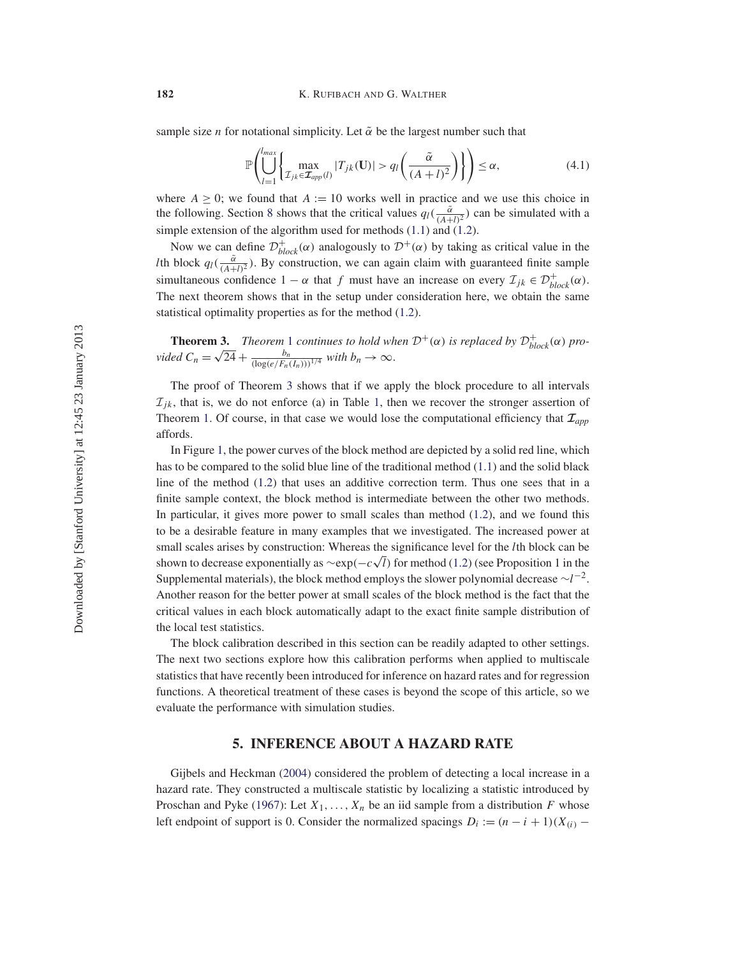sample size *n* for notational simplicity. Let  $\tilde{\alpha}$  be the largest number such that

$$
\mathbb{P}\left(\bigcup_{l=1}^{l_{max}}\left\{\max_{\mathcal{I}_{jk}\in\mathcal{I}_{app}(l)}|T_{jk}(\mathbf{U})|>q_l\left(\frac{\tilde{\alpha}}{(A+l)^2}\right)\right\}\right)\leq\alpha,\tag{4.1}
$$

where  $A \geq 0$ ; we found that  $A := 10$  works well in practice and we use this choice in the following. Section 8 shows that the critical values  $q_l(\frac{\tilde{\alpha}}{(A+l)^2})$  can be simulated with a simple extension of the algorithm used for methods (1.1) and (1.2).

Now we can define  $\mathcal{D}^+_{block}(\alpha)$  analogously to  $\mathcal{D}^+(\alpha)$  by taking as critical value in the *lth block q<sub>l</sub>*( $\frac{\tilde{\alpha}}{(A+l)^2}$ ). By construction, we can again claim with guaranteed finite sample simultaneous confidence  $1 - \alpha$  that f must have an increase on every  $\mathcal{I}_{jk} \in \mathcal{D}_{block}^{+}(\alpha)$ . The next theorem shows that in the setup under consideration here, we obtain the same statistical optimality properties as for the method (1.2).

**Theorem 3.** *Theorem* 1 *continues to hold when*  $\mathcal{D}^+(\alpha)$  *is replaced by*  $\mathcal{D}^+_{block}(\alpha)$  *pro-vided*  $C_n = \sqrt{24} + \frac{b_n}{(\log(e/F_n(I_n)))^{1/4}}$  *with*  $b_n \to \infty$ .

The proof of Theorem 3 shows that if we apply the block procedure to all intervals  $\mathcal{I}_{ik}$ , that is, we do not enforce (a) in Table 1, then we recover the stronger assertion of Theorem 1. Of course, in that case we would lose the computational efficiency that  $\mathcal{I}_{app}$ affords.

In Figure 1, the power curves of the block method are depicted by a solid red line, which has to be compared to the solid blue line of the traditional method (1.1) and the solid black line of the method (1.2) that uses an additive correction term. Thus one sees that in a finite sample context, the block method is intermediate between the other two methods. In particular, it gives more power to small scales than method (1.2), and we found this to be a desirable feature in many examples that we investigated. The increased power at small scales arises by construction: Whereas the significance level for the *l*th block can be shian scales arises by construction. Whereas the significance level for the *t*urblock can be shown to decrease exponentially as  $\sim$ exp( $-c\sqrt{l}$ ) for method (1.2) (see Proposition 1 in the Supplemental materials), the block method employs the slower polynomial decrease  $\sim l^{-2}$ . Another reason for the better power at small scales of the block method is the fact that the critical values in each block automatically adapt to the exact finite sample distribution of the local test statistics.

The block calibration described in this section can be readily adapted to other settings. The next two sections explore how this calibration performs when applied to multiscale statistics that have recently been introduced for inference on hazard rates and for regression functions. A theoretical treatment of these cases is beyond the scope of this article, so we evaluate the performance with simulation studies.

## **5. INFERENCE ABOUT A HAZARD RATE**

Gijbels and Heckman (2004) considered the problem of detecting a local increase in a hazard rate. They constructed a multiscale statistic by localizing a statistic introduced by Proschan and Pyke (1967): Let  $X_1, \ldots, X_n$  be an iid sample from a distribution F whose left endpoint of support is 0. Consider the normalized spacings  $D_i := (n - i + 1)(X_{(i)} -$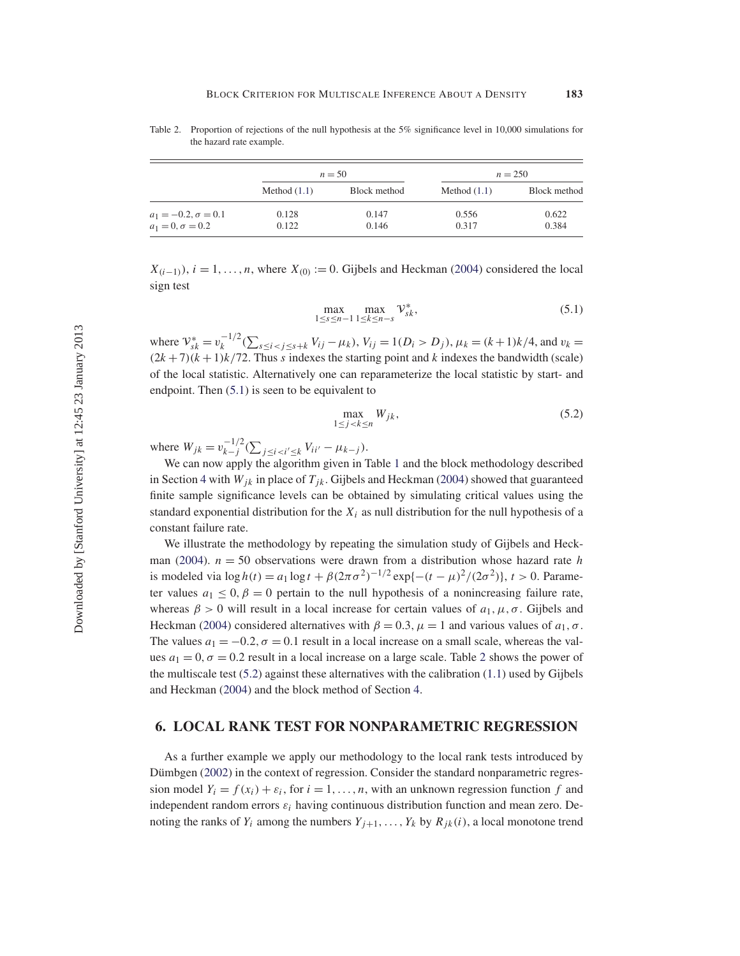|                            | $n = 50$       |              |                | $n = 250$    |
|----------------------------|----------------|--------------|----------------|--------------|
|                            | Method $(1.1)$ | Block method | Method $(1.1)$ | Block method |
| $a_1 = -0.2, \sigma = 0.1$ | 0.128          | 0.147        | 0.556          | 0.622        |
| $a_1 = 0, \sigma = 0.2$    | 0.122          | 0.146        | 0.317          | 0.384        |

Table 2. Proportion of rejections of the null hypothesis at the 5% significance level in 10,000 simulations for the hazard rate example.

 $X_{(i-1)}$ ),  $i = 1, \ldots, n$ , where  $X_{(0)} := 0$ . Gijbels and Heckman (2004) considered the local sign test

$$
\max_{1 \le s \le n-1} \max_{1 \le k \le n-s} \mathcal{V}_{sk}^*,\tag{5.1}
$$

where  $V_{sk}^* = v_k^{-1/2} (\sum_{s \le i < j \le s+k} V_{ij} - \mu_k)$ ,  $V_{ij} = 1(D_i > D_j)$ ,  $\mu_k = (k+1)k/4$ , and  $v_k =$  $(2k+7)(k+1)k/72$ . Thus s indexes the starting point and k indexes the bandwidth (scale) of the local statistic. Alternatively one can reparameterize the local statistic by start- and endpoint. Then (5.1) is seen to be equivalent to

$$
\max_{1 \le j < k \le n} W_{jk},\tag{5.2}
$$

where  $W_{jk} = v_{k-j}^{-1/2} (\sum_{j \le i < i' \le k} V_{ii'} - \mu_{k-j}).$ 

We can now apply the algorithm given in Table 1 and the block methodology described in Section 4 with  $W_{jk}$  in place of  $T_{jk}$ . Gijbels and Heckman (2004) showed that guaranteed finite sample significance levels can be obtained by simulating critical values using the standard exponential distribution for the  $X_i$  as null distribution for the null hypothesis of a constant failure rate.

We illustrate the methodology by repeating the simulation study of Gijbels and Heckman (2004).  $n = 50$  observations were drawn from a distribution whose hazard rate h is modeled via  $\log h(t) = a_1 \log t + \beta (2\pi \sigma^2)^{-1/2} \exp\{-(t-\mu)^2/(2\sigma^2)\}, t > 0$ . Parameter values  $a_1 \leq 0$ ,  $\beta = 0$  pertain to the null hypothesis of a nonincreasing failure rate, whereas  $\beta > 0$  will result in a local increase for certain values of  $a_1, \mu, \sigma$ . Gijbels and Heckman (2004) considered alternatives with  $\beta = 0.3$ ,  $\mu = 1$  and various values of  $a_1, \sigma$ . The values  $a_1 = -0.2$ ,  $\sigma = 0.1$  result in a local increase on a small scale, whereas the values  $a_1 = 0$ ,  $\sigma = 0.2$  result in a local increase on a large scale. Table 2 shows the power of the multiscale test  $(5.2)$  against these alternatives with the calibration  $(1.1)$  used by Gijbels and Heckman (2004) and the block method of Section 4.

#### **6. LOCAL RANK TEST FOR NONPARAMETRIC REGRESSION**

As a further example we apply our methodology to the local rank tests introduced by Dümbgen (2002) in the context of regression. Consider the standard nonparametric regression model  $Y_i = f(x_i) + \varepsilon_i$ , for  $i = 1, ..., n$ , with an unknown regression function f and independent random errors  $\varepsilon_i$  having continuous distribution function and mean zero. Denoting the ranks of  $Y_i$  among the numbers  $Y_{j+1}, \ldots, Y_k$  by  $R_{jk}(i)$ , a local monotone trend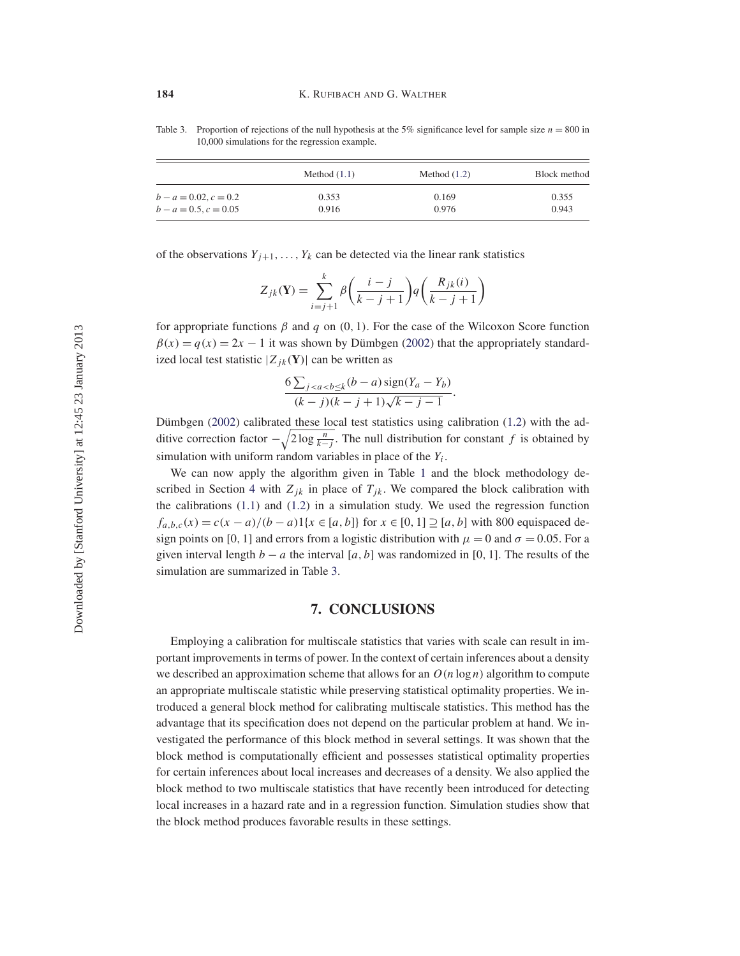Table 3. Proportion of rejections of the null hypothesis at the 5% significance level for sample size  $n = 800$  in 10,000 simulations for the regression example.

|                         | Method $(1.1)$ | Method $(1.2)$ | Block method |
|-------------------------|----------------|----------------|--------------|
| $b - a = 0.02, c = 0.2$ | 0.353          | 0.169          | 0.355        |
| $b - a = 0.5, c = 0.05$ | 0.916          | 0.976          | 0.943        |

of the observations  $Y_{j+1}, \ldots, Y_k$  can be detected via the linear rank statistics

$$
Z_{jk}(\mathbf{Y}) = \sum_{i=j+1}^{k} \beta \left( \frac{i-j}{k-j+1} \right) q \left( \frac{R_{jk}(i)}{k-j+1} \right)
$$

for appropriate functions  $\beta$  and  $q$  on  $(0, 1)$ . For the case of the Wilcoxon Score function  $\beta(x) = q(x) = 2x - 1$  it was shown by Dümbgen (2002) that the appropriately standardized local test statistic  $|Z_{jk}(\mathbf{Y})|$  can be written as

$$
\frac{6\sum_{j
$$

Dümbgen (2002) calibrated these local test statistics using calibration (1.2) with the additive correction factor  $-\sqrt{2\log\frac{n}{k-j}}$ . The null distribution for constant f is obtained by simulation with uniform random variables in place of the  $Y_i$ .

We can now apply the algorithm given in Table 1 and the block methodology described in Section 4 with  $Z_{jk}$  in place of  $T_{jk}$ . We compared the block calibration with the calibrations  $(1.1)$  and  $(1.2)$  in a simulation study. We used the regression function  $f_{a,b,c}(x) = c(x - a)/(b - a)1\{x \in [a, b]\}$  for  $x \in [0, 1] \supseteq [a, b]$  with 800 equispaced design points on [0, 1] and errors from a logistic distribution with  $\mu = 0$  and  $\sigma = 0.05$ . For a given interval length  $b - a$  the interval [a, b] was randomized in [0, 1]. The results of the simulation are summarized in Table 3.

#### **7. CONCLUSIONS**

Employing a calibration for multiscale statistics that varies with scale can result in important improvements in terms of power. In the context of certain inferences about a density we described an approximation scheme that allows for an  $O(n \log n)$  algorithm to compute an appropriate multiscale statistic while preserving statistical optimality properties. We introduced a general block method for calibrating multiscale statistics. This method has the advantage that its specification does not depend on the particular problem at hand. We investigated the performance of this block method in several settings. It was shown that the block method is computationally efficient and possesses statistical optimality properties for certain inferences about local increases and decreases of a density. We also applied the block method to two multiscale statistics that have recently been introduced for detecting local increases in a hazard rate and in a regression function. Simulation studies show that the block method produces favorable results in these settings.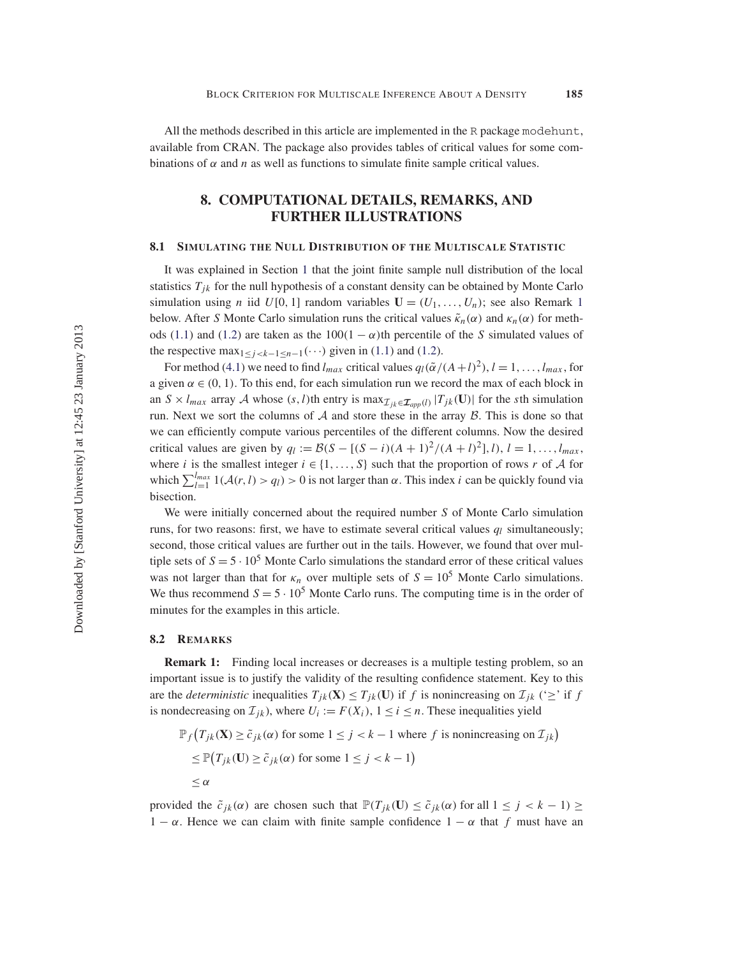All the methods described in this article are implemented in the R package modehunt, available from CRAN. The package also provides tables of critical values for some combinations of  $\alpha$  and n as well as functions to simulate finite sample critical values.

# **8. COMPUTATIONAL DETAILS, REMARKS, AND FURTHER ILLUSTRATIONS**

#### **8.1 SIMULATING THE NULL DISTRIBUTION OF THE MULTISCALE STATISTIC**

It was explained in Section 1 that the joint finite sample null distribution of the local statistics  $T_{jk}$  for the null hypothesis of a constant density can be obtained by Monte Carlo simulation using *n* iid  $U[0, 1]$  random variables  $\mathbf{U} = (U_1, \ldots, U_n)$ ; see also Remark 1 below. After S Monte Carlo simulation runs the critical values  $\tilde{\kappa}_n(\alpha)$  and  $\kappa_n(\alpha)$  for methods (1.1) and (1.2) are taken as the  $100(1 - \alpha)$ th percentile of the S simulated values of the respective max<sub>1≤j<k-1≤n-1</sub>(···) given in (1.1) and (1.2).

For method (4.1) we need to find  $l_{max}$  critical values  $q_l(\tilde{\alpha}/(A+l)^2), l = 1, \ldots, l_{max}$ , for a given  $\alpha \in (0, 1)$ . To this end, for each simulation run we record the max of each block in an  $S \times l_{max}$  array A whose  $(s, l)$ th entry is max $\mathcal{I}_{ik} \in \mathcal{I}_{app(l)} |T_{jk}(\mathbf{U})|$  for the sth simulation run. Next we sort the columns of  $A$  and store these in the array  $B$ . This is done so that we can efficiently compute various percentiles of the different columns. Now the desired critical values are given by  $q_l := \mathcal{B}(S - [(S - i)(A + 1)^2/(A + l)^2], l), l = 1, ..., l_{max}$ , where i is the smallest integer  $i \in \{1, ..., S\}$  such that the proportion of rows r of A for which  $\sum_{l=1}^{l_{max}} 1(\mathcal{A}(r, l) > q_l) > 0$  is not larger than  $\alpha$ . This index i can be quickly found via bisection.

We were initially concerned about the required number S of Monte Carlo simulation runs, for two reasons: first, we have to estimate several critical values  $q_l$  simultaneously; second, those critical values are further out in the tails. However, we found that over multiple sets of  $S = 5 \cdot 10^5$  Monte Carlo simulations the standard error of these critical values was not larger than that for  $\kappa_n$  over multiple sets of  $S = 10^5$  Monte Carlo simulations. We thus recommend  $S = 5 \cdot 10^5$  Monte Carlo runs. The computing time is in the order of minutes for the examples in this article.

#### **8.2 REMARKS**

**Remark 1:** Finding local increases or decreases is a multiple testing problem, so an important issue is to justify the validity of the resulting confidence statement. Key to this are the *deterministic* inequalities  $T_{jk}(\mathbf{X}) \leq T_{jk}(\mathbf{U})$  if f is nonincreasing on  $\mathcal{I}_{jk}$  (' $\geq$ ' if f is nondecreasing on  $\mathcal{I}_{jk}$ ), where  $U_i := F(X_i)$ ,  $1 \le i \le n$ . These inequalities yield

$$
\mathbb{P}_f(T_{jk}(\mathbf{X}) \ge \tilde{c}_{jk}(\alpha) \text{ for some } 1 \le j < k - 1 \text{ where } f \text{ is nonincreasing on } \mathcal{I}_{jk})
$$
\n
$$
\le \mathbb{P}\big(T_{jk}(\mathbf{U}) \ge \tilde{c}_{jk}(\alpha) \text{ for some } 1 \le j < k - 1\big)
$$
\n
$$
\le \alpha
$$

provided the  $\tilde{c}_{jk}(\alpha)$  are chosen such that  $\mathbb{P}(T_{jk}(\mathbf{U}) \leq \tilde{c}_{jk}(\alpha)$  for all  $1 \leq j < k - 1) \geq$  $1 - \alpha$ . Hence we can claim with finite sample confidence  $1 - \alpha$  that f must have an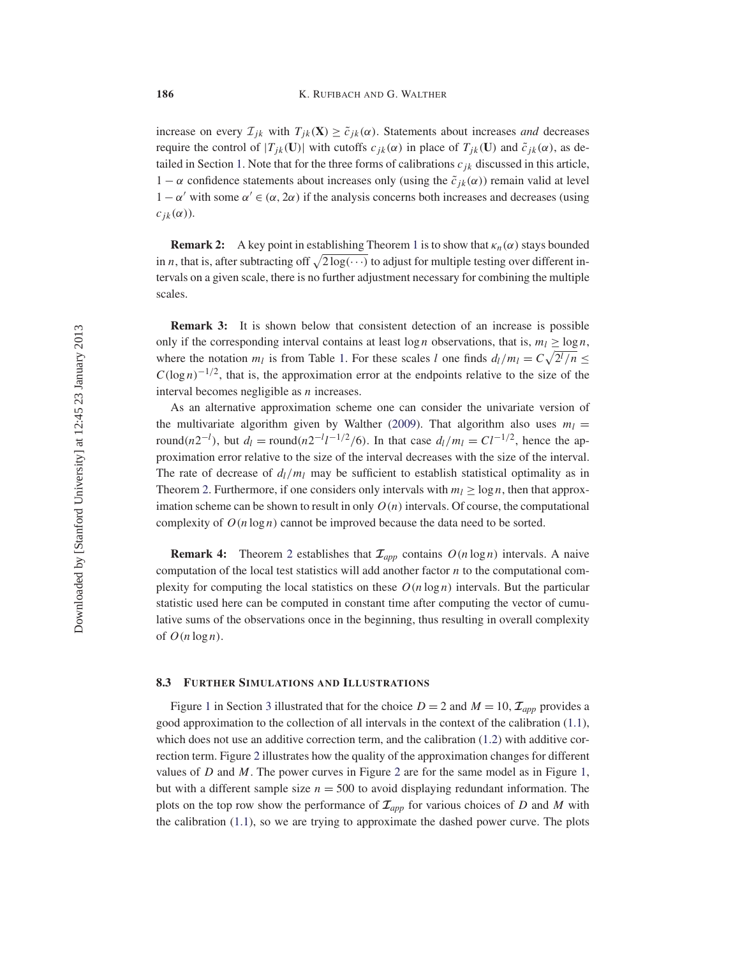increase on every  $\mathcal{I}_{ik}$  with  $T_{ik}(\mathbf{X}) \geq \tilde{c}_{ik}(\alpha)$ . Statements about increases *and* decreases require the control of  $|T_{jk}(\mathbf{U})|$  with cutoffs  $c_{jk}(\alpha)$  in place of  $T_{jk}(\mathbf{U})$  and  $\tilde{c}_{jk}(\alpha)$ , as detailed in Section 1. Note that for the three forms of calibrations  $c_{jk}$  discussed in this article,  $1 - \alpha$  confidence statements about increases only (using the  $\tilde{c}_{ik}(\alpha)$ ) remain valid at level  $1 - \alpha'$  with some  $\alpha' \in (\alpha, 2\alpha)$  if the analysis concerns both increases and decreases (using  $c_{ik}(\alpha)$ ).

**Remark 2:** A key point in establishing Theorem 1 is to show that  $\kappa_n(\alpha)$  stays bounded in *n*, that is, after subtracting off  $\sqrt{2 \log(\cdots)}$  to adjust for multiple testing over different intervals on a given scale, there is no further adjustment necessary for combining the multiple scales.

**Remark 3:** It is shown below that consistent detection of an increase is possible only if the corresponding interval contains at least  $\log n$  observations, that is,  $m_l \ge \log n$ , where the notation  $m_l$  is from Table 1. For these scales l one finds  $d_l/m_l = C \sqrt{2^l/n} \leq$  $C(\log n)^{-1/2}$ , that is, the approximation error at the endpoints relative to the size of the interval becomes negligible as  $n$  increases.

As an alternative approximation scheme one can consider the univariate version of the multivariate algorithm given by Walther (2009). That algorithm also uses  $m_l =$ round(n2<sup>-l</sup>), but  $d_l = \text{round}(n2^{-l}l^{-1/2}/6)$ . In that case  $d_l/m_l = Cl^{-1/2}$ , hence the approximation error relative to the size of the interval decreases with the size of the interval. The rate of decrease of  $d_l/m_l$  may be sufficient to establish statistical optimality as in Theorem 2. Furthermore, if one considers only intervals with  $m_l \ge \log n$ , then that approximation scheme can be shown to result in only  $O(n)$  intervals. Of course, the computational complexity of  $O(n \log n)$  cannot be improved because the data need to be sorted.

**Remark 4:** Theorem 2 establishes that  $\mathcal{I}_{app}$  contains  $O(n \log n)$  intervals. A naive computation of the local test statistics will add another factor  $n$  to the computational complexity for computing the local statistics on these  $O(n \log n)$  intervals. But the particular statistic used here can be computed in constant time after computing the vector of cumulative sums of the observations once in the beginning, thus resulting in overall complexity of  $O(n \log n)$ .

#### **8.3 FURTHER SIMULATIONS AND ILLUSTRATIONS**

Figure 1 in Section 3 illustrated that for the choice  $D = 2$  and  $M = 10$ ,  $\mathcal{I}_{app}$  provides a good approximation to the collection of all intervals in the context of the calibration (1.1), which does not use an additive correction term, and the calibration  $(1.2)$  with additive correction term. Figure 2 illustrates how the quality of the approximation changes for different values of  $D$  and  $M$ . The power curves in Figure 2 are for the same model as in Figure 1, but with a different sample size  $n = 500$  to avoid displaying redundant information. The plots on the top row show the performance of  $\mathcal{I}_{app}$  for various choices of D and M with the calibration (1.1), so we are trying to approximate the dashed power curve. The plots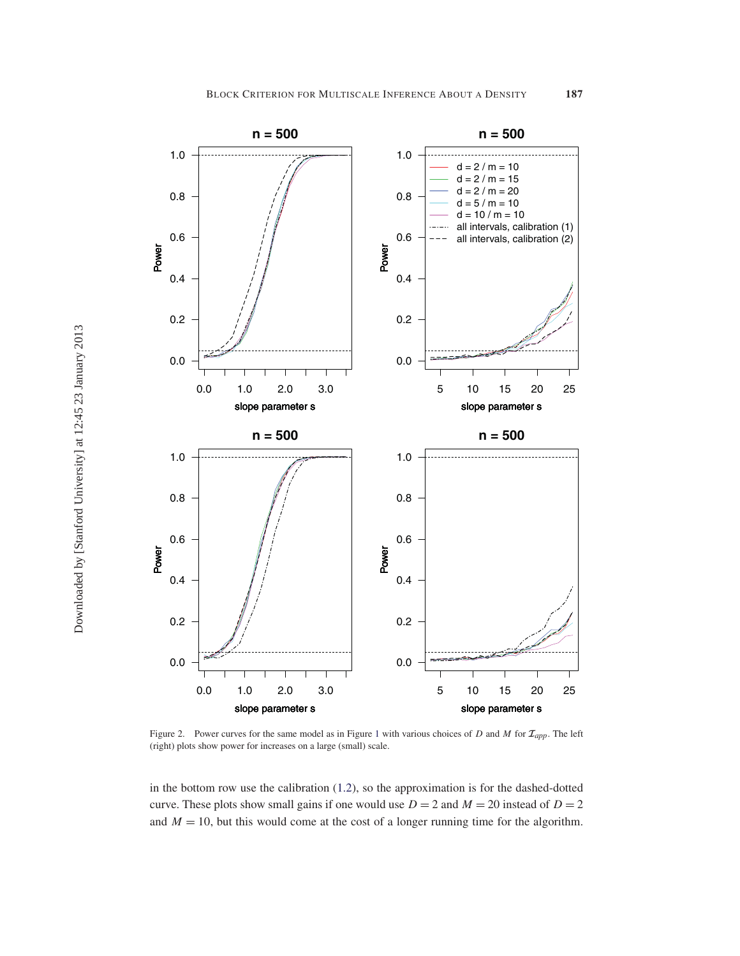

Figure 2. Power curves for the same model as in Figure <sup>1</sup> with various choices of <sup>D</sup> and <sup>M</sup> for *<sup>I</sup>app*. The left (right) plots show power for increases on a large (small) scale.

in the bottom row use the calibration (1.2), so the approximation is for the dashed-dotted curve. These plots show small gains if one would use  $D = 2$  and  $M = 20$  instead of  $D = 2$ and  $M = 10$ , but this would come at the cost of a longer running time for the algorithm.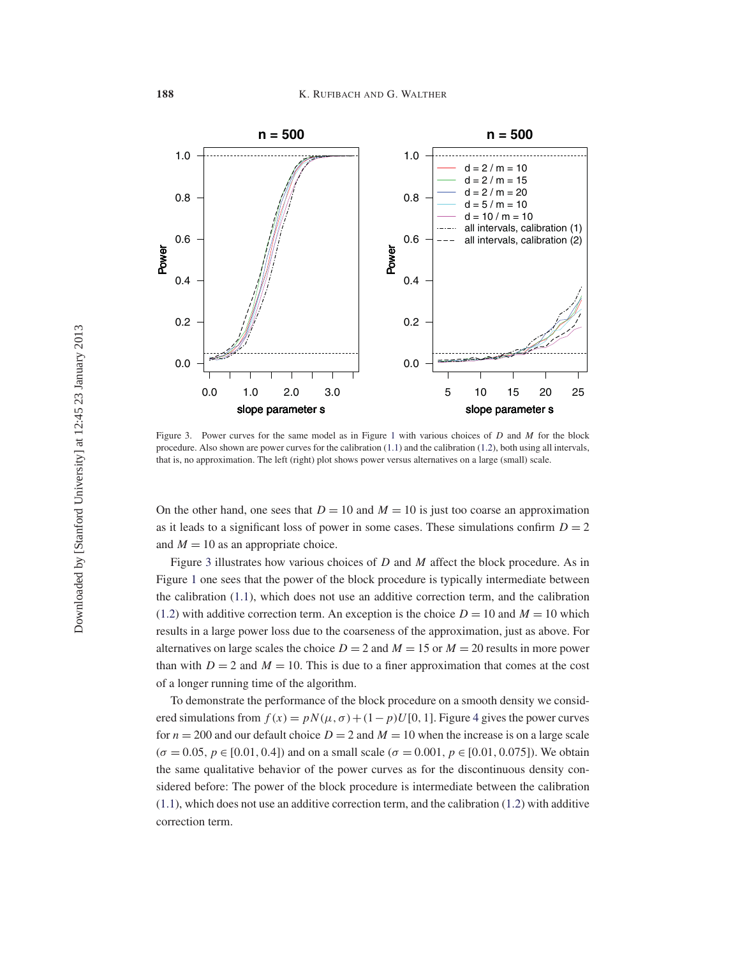

Figure 3. Power curves for the same model as in Figure 1 with various choices of  $D$  and  $M$  for the block procedure. Also shown are power curves for the calibration (1.1) and the calibration (1.2), both using all intervals, that is, no approximation. The left (right) plot shows power versus alternatives on a large (small) scale.

On the other hand, one sees that  $D = 10$  and  $M = 10$  is just too coarse an approximation as it leads to a significant loss of power in some cases. These simulations confirm  $D = 2$ and  $M = 10$  as an appropriate choice.

Figure 3 illustrates how various choices of  $D$  and  $M$  affect the block procedure. As in Figure 1 one sees that the power of the block procedure is typically intermediate between the calibration (1.1), which does not use an additive correction term, and the calibration (1.2) with additive correction term. An exception is the choice  $D = 10$  and  $M = 10$  which results in a large power loss due to the coarseness of the approximation, just as above. For alternatives on large scales the choice  $D = 2$  and  $M = 15$  or  $M = 20$  results in more power than with  $D = 2$  and  $M = 10$ . This is due to a finer approximation that comes at the cost of a longer running time of the algorithm.

To demonstrate the performance of the block procedure on a smooth density we considered simulations from  $f(x) = pN(\mu, \sigma) + (1-p)U[0, 1]$ . Figure 4 gives the power curves for  $n = 200$  and our default choice  $D = 2$  and  $M = 10$  when the increase is on a large scale  $(\sigma = 0.05, p \in [0.01, 0.4])$  and on a small scale  $(\sigma = 0.001, p \in [0.01, 0.075])$ . We obtain the same qualitative behavior of the power curves as for the discontinuous density considered before: The power of the block procedure is intermediate between the calibration  $(1.1)$ , which does not use an additive correction term, and the calibration  $(1.2)$  with additive correction term.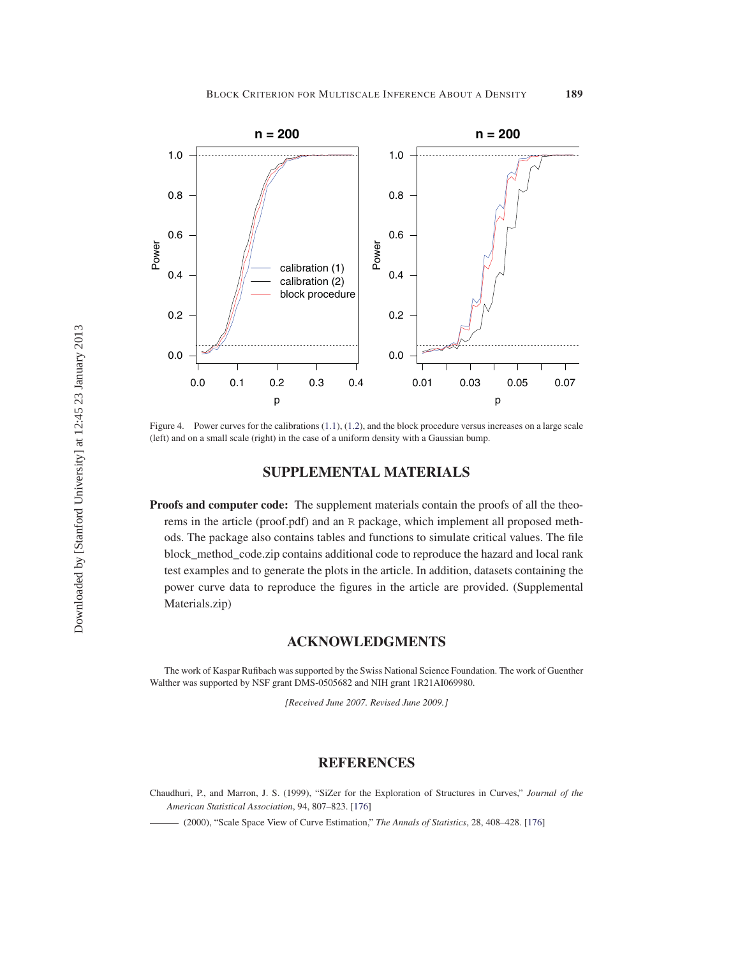

Figure 4. Power curves for the calibrations (1.1), (1.2), and the block procedure versus increases on a large scale (left) and on a small scale (right) in the case of a uniform density with a Gaussian bump.

# **SUPPLEMENTAL MATERIALS**

**Proofs and computer code:** The supplement materials contain the proofs of all the theorems in the article (proof.pdf) and an R package, which implement all proposed methods. The package also contains tables and functions to simulate critical values. The file block\_method\_code.zip contains additional code to reproduce the hazard and local rank test examples and to generate the plots in the article. In addition, datasets containing the power curve data to reproduce the figures in the article are provided. (Supplemental Materials.zip)

## **ACKNOWLEDGMENTS**

The work of Kaspar Rufibach was supported by the Swiss National Science Foundation. The work of Guenther Walther was supported by NSF grant DMS-0505682 and NIH grant 1R21AI069980.

*[Received June 2007. Revised June 2009.]*

### **REFERENCES**

Chaudhuri, P., and Marron, J. S. (1999), "SiZer for the Exploration of Structures in Curves," *Journal of the American Statistical Association*, 94, 807–823. [176]

(2000), "Scale Space View of Curve Estimation," *The Annals of Statistics*, 28, 408–428. [176]